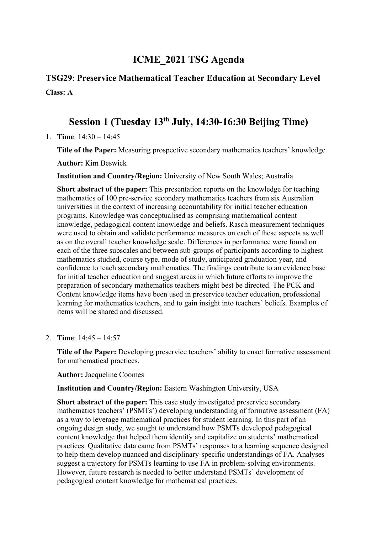# **ICME\_2021 TSG Agenda**

# **TSG29**: **Preservice Mathematical Teacher Education at Secondary Level Class: A**

# **Session 1 (Tuesday 13th July, 14:30-16:30 Beijing Time)**

1. **Time**: 14:30 – 14:45

**Title of the Paper:** Measuring prospective secondary mathematics teachers' knowledge **Author:** Kim Beswick

**Institution and Country/Region:** University of New South Wales; Australia

**Short abstract of the paper:** This presentation reports on the knowledge for teaching mathematics of 100 pre-service secondary mathematics teachers from six Australian universities in the context of increasing accountability for initial teacher education programs. Knowledge was conceptualised as comprising mathematical content knowledge, pedagogical content knowledge and beliefs. Rasch measurement techniques were used to obtain and validate performance measures on each of these aspects as well as on the overall teacher knowledge scale. Differences in performance were found on each of the three subscales and between sub-groups of participants according to highest mathematics studied, course type, mode of study, anticipated graduation year, and confidence to teach secondary mathematics. The findings contribute to an evidence base for initial teacher education and suggest areas in which future efforts to improve the preparation of secondary mathematics teachers might best be directed. The PCK and Content knowledge items have been used in preservice teacher education, professional learning for mathematics teachers, and to gain insight into teachers' beliefs. Examples of items will be shared and discussed.

2. **Time**: 14:45 – 14:57

**Title of the Paper:** Developing preservice teachers' ability to enact formative assessment for mathematical practices.

**Author:** Jacqueline Coomes

**Institution and Country/Region:** Eastern Washington University, USA

**Short abstract of the paper:** This case study investigated preservice secondary mathematics teachers' (PSMTs') developing understanding of formative assessment (FA) as a way to leverage mathematical practices for student learning. In this part of an ongoing design study, we sought to understand how PSMTs developed pedagogical content knowledge that helped them identify and capitalize on students' mathematical practices. Qualitative data came from PSMTs' responses to a learning sequence designed to help them develop nuanced and disciplinary-specific understandings of FA. Analyses suggest a trajectory for PSMTs learning to use FA in problem-solving environments. However, future research is needed to better understand PSMTs' development of pedagogical content knowledge for mathematical practices.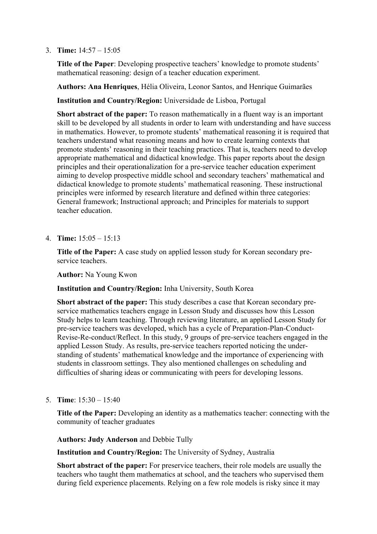## 3. **Time:** 14:57 – 15:05

**Title of the Paper**: Developing prospective teachers' knowledge to promote students' mathematical reasoning: design of a teacher education experiment.

**Authors: Ana Henriques**, Hélia Oliveira, Leonor Santos, and Henrique Guimarães

**Institution and Country/Region:** Universidade de Lisboa, Portugal

**Short abstract of the paper:** To reason mathematically in a fluent way is an important skill to be developed by all students in order to learn with understanding and have success in mathematics. However, to promote students' mathematical reasoning it is required that teachers understand what reasoning means and how to create learning contexts that promote students' reasoning in their teaching practices. That is, teachers need to develop appropriate mathematical and didactical knowledge. This paper reports about the design principles and their operationalization for a pre-service teacher education experiment aiming to develop prospective middle school and secondary teachers' mathematical and didactical knowledge to promote students' mathematical reasoning. These instructional principles were informed by research literature and defined within three categories: General framework; Instructional approach; and Principles for materials to support teacher education.

4. **Time:** 15:05 – 15:13

**Title of the Paper:** A case study on applied lesson study for Korean secondary preservice teachers.

**Author:** Na Young Kwon

**Institution and Country/Region:** Inha University, South Korea

**Short abstract of the paper:** This study describes a case that Korean secondary preservice mathematics teachers engage in Lesson Study and discusses how this Lesson Study helps to learn teaching. Through reviewing literature, an applied Lesson Study for pre-service teachers was developed, which has a cycle of Preparation-Plan-Conduct-Revise-Re-conduct/Reflect. In this study, 9 groups of pre-service teachers engaged in the applied Lesson Study. As results, pre-service teachers reported noticing the understanding of students' mathematical knowledge and the importance of experiencing with students in classroom settings. They also mentioned challenges on scheduling and difficulties of sharing ideas or communicating with peers for developing lessons.

5. **Time**: 15:30 – 15:40

**Title of the Paper:** Developing an identity as a mathematics teacher: connecting with the community of teacher graduates

**Authors: Judy Anderson** and Debbie Tully

**Institution and Country/Region:** The University of Sydney, Australia

**Short abstract of the paper:** For preservice teachers, their role models are usually the teachers who taught them mathematics at school, and the teachers who supervised them during field experience placements. Relying on a few role models is risky since it may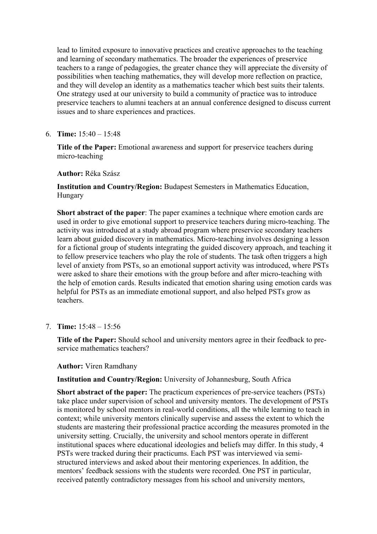lead to limited exposure to innovative practices and creative approaches to the teaching and learning of secondary mathematics. The broader the experiences of preservice teachers to a range of pedagogies, the greater chance they will appreciate the diversity of possibilities when teaching mathematics, they will develop more reflection on practice, and they will develop an identity as a mathematics teacher which best suits their talents. One strategy used at our university to build a community of practice was to introduce preservice teachers to alumni teachers at an annual conference designed to discuss current issues and to share experiences and practices.

## 6. **Time:** 15:40 – 15:48

**Title of the Paper:** Emotional awareness and support for preservice teachers during micro-teaching

## **Author:** Réka Szász

**Institution and Country/Region:** Budapest Semesters in Mathematics Education, Hungary

**Short abstract of the paper**: The paper examines a technique where emotion cards are used in order to give emotional support to preservice teachers during micro-teaching. The activity was introduced at a study abroad program where preservice secondary teachers learn about guided discovery in mathematics. Micro-teaching involves designing a lesson for a fictional group of students integrating the guided discovery approach, and teaching it to fellow preservice teachers who play the role of students. The task often triggers a high level of anxiety from PSTs, so an emotional support activity was introduced, where PSTs were asked to share their emotions with the group before and after micro-teaching with the help of emotion cards. Results indicated that emotion sharing using emotion cards was helpful for PSTs as an immediate emotional support, and also helped PSTs grow as teachers.

7. **Time:** 15:48 – 15:56

**Title of the Paper:** Should school and university mentors agree in their feedback to preservice mathematics teachers?

## **Author:** Viren Ramdhany

**Institution and Country/Region:** University of Johannesburg, South Africa

**Short abstract of the paper:** The practicum experiences of pre-service teachers (PSTs) take place under supervision of school and university mentors. The development of PSTs is monitored by school mentors in real-world conditions, all the while learning to teach in context; while university mentors clinically supervise and assess the extent to which the students are mastering their professional practice according the measures promoted in the university setting. Crucially, the university and school mentors operate in different institutional spaces where educational ideologies and beliefs may differ. In this study, 4 PSTs were tracked during their practicums. Each PST was interviewed via semistructured interviews and asked about their mentoring experiences. In addition, the mentors' feedback sessions with the students were recorded. One PST in particular, received patently contradictory messages from his school and university mentors,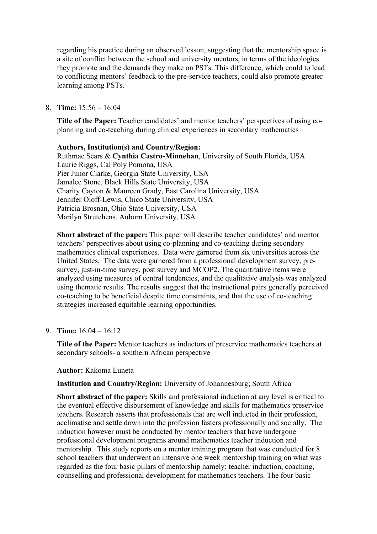regarding his practice during an observed lesson, suggesting that the mentorship space is a site of conflict between the school and university mentors, in terms of the ideologies they promote and the demands they make on PSTs. This difference, which could to lead to conflicting mentors' feedback to the pre-service teachers, could also promote greater learning among PSTs.

## 8. **Time:** 15:56 – 16:04

**Title of the Paper:** Teacher candidates' and mentor teachers' perspectives of using coplanning and co-teaching during clinical experiences in secondary mathematics

## **Authors, Institution(s) and Country/Region:**

Ruthmae Sears & **Cynthia Castro-Minnehan**, University of South Florida, USA Laurie Riggs, Cal Poly Pomona, USA Pier Junor Clarke, Georgia State University, USA Jamalee Stone, Black Hills State University, USA Charity Cayton & Maureen Grady, East Carolina University, USA Jennifer Oloff-Lewis, Chico State University, USA Patricia Brosnan, Ohio State University, USA Marilyn Strutchens, Auburn University, USA

**Short abstract of the paper:** This paper will describe teacher candidates' and mentor teachers' perspectives about using co-planning and co-teaching during secondary mathematics clinical experiences. Data were garnered from six universities across the United States. The data were garnered from a professional development survey, presurvey, just-in-time survey, post survey and MCOP2. The quantitative items were analyzed using measures of central tendencies, and the qualitative analysis was analyzed using thematic results. The results suggest that the instructional pairs generally perceived co-teaching to be beneficial despite time constraints, and that the use of co-teaching strategies increased equitable learning opportunities.

## 9. **Time:** 16:04 – 16:12

**Title of the Paper:** Mentor teachers as inductors of preservice mathematics teachers at secondary schools- a southern African perspective

#### **Author:** Kakoma Luneta

**Institution and Country/Region:** University of Johannesburg; South Africa

**Short abstract of the paper:** Skills and professional induction at any level is critical to the eventual effective disbursement of knowledge and skills for mathematics preservice teachers. Research asserts that professionals that are well inducted in their profession, acclimatise and settle down into the profession fasters professionally and socially. The induction however must be conducted by mentor teachers that have undergone professional development programs around mathematics teacher induction and mentorship. This study reports on a mentor training program that was conducted for 8 school teachers that underwent an intensive one week mentorship training on what was regarded as the four basic pillars of mentorship namely: teacher induction, coaching, counselling and professional development for mathematics teachers. The four basic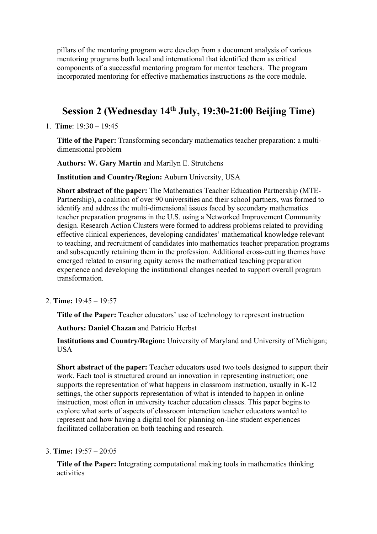pillars of the mentoring program were develop from a document analysis of various mentoring programs both local and international that identified them as critical components of a successful mentoring program for mentor teachers. The program incorporated mentoring for effective mathematics instructions as the core module.

# **Session 2 (Wednesday 14th July, 19:30-21:00 Beijing Time)**

1. **Time**: 19:30 – 19:45

**Title of the Paper:** Transforming secondary mathematics teacher preparation: a multidimensional problem

**Authors: W. Gary Martin** and Marilyn E. Strutchens

**Institution and Country/Region:** Auburn University, USA

**Short abstract of the paper:** The Mathematics Teacher Education Partnership (MTE-Partnership), a coalition of over 90 universities and their school partners, was formed to identify and address the multi-dimensional issues faced by secondary mathematics teacher preparation programs in the U.S. using a Networked Improvement Community design. Research Action Clusters were formed to address problems related to providing effective clinical experiences, developing candidates' mathematical knowledge relevant to teaching, and recruitment of candidates into mathematics teacher preparation programs and subsequently retaining them in the profession. Additional cross-cutting themes have emerged related to ensuring equity across the mathematical teaching preparation experience and developing the institutional changes needed to support overall program transformation.

2. **Time:** 19:45 – 19:57

**Title of the Paper:** Teacher educators' use of technology to represent instruction

**Authors: Daniel Chazan** and Patricio Herbst

**Institutions and Country/Region:** University of Maryland and University of Michigan; **I**ISA

**Short abstract of the paper:** Teacher educators used two tools designed to support their work. Each tool is structured around an innovation in representing instruction; one supports the representation of what happens in classroom instruction, usually in K-12 settings, the other supports representation of what is intended to happen in online instruction, most often in university teacher education classes. This paper begins to explore what sorts of aspects of classroom interaction teacher educators wanted to represent and how having a digital tool for planning on-line student experiences facilitated collaboration on both teaching and research.

## 3. **Time:** 19:57 – 20:05

**Title of the Paper:** Integrating computational making tools in mathematics thinking activities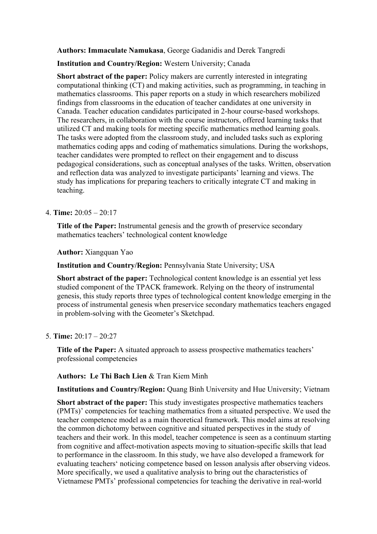**Authors: Immaculate Namukasa**, George Gadanidis and Derek Tangredi

**Institution and Country/Region:** Western University; Canada

**Short abstract of the paper:** Policy makers are currently interested in integrating computational thinking (CT) and making activities, such as programming, in teaching in mathematics classrooms. This paper reports on a study in which researchers mobilized findings from classrooms in the education of teacher candidates at one university in Canada. Teacher education candidates participated in 2-hour course-based workshops. The researchers, in collaboration with the course instructors, offered learning tasks that utilized CT and making tools for meeting specific mathematics method learning goals. The tasks were adopted from the classroom study, and included tasks such as exploring mathematics coding apps and coding of mathematics simulations. During the workshops, teacher candidates were prompted to reflect on their engagement and to discuss pedagogical considerations, such as conceptual analyses of the tasks. Written, observation and reflection data was analyzed to investigate participants' learning and views. The study has implications for preparing teachers to critically integrate CT and making in teaching.

## 4. **Time:** 20:05 – 20:17

**Title of the Paper:** Instrumental genesis and the growth of preservice secondary mathematics teachers' technological content knowledge

**Author:** Xiangquan Yao

**Institution and Country/Region:** Pennsylvania State University; USA

**Short abstract of the paper:** Technological content knowledge is an essential yet less studied component of the TPACK framework. Relying on the theory of instrumental genesis, this study reports three types of technological content knowledge emerging in the process of instrumental genesis when preservice secondary mathematics teachers engaged in problem-solving with the Geometer's Sketchpad.

## 5. **Time:** 20:17 – 20:27

**Title of the Paper:** A situated approach to assess prospective mathematics teachers' professional competencies

**Authors: Le Thi Bach Lien** & Tran Kiem Minh

**Institutions and Country/Region:** Quang Binh University and Hue University; Vietnam

**Short abstract of the paper:** This study investigates prospective mathematics teachers (PMTs)' competencies for teaching mathematics from a situated perspective. We used the teacher competence model as a main theoretical framework. This model aims at resolving the common dichotomy between cognitive and situated perspectives in the study of teachers and their work. In this model, teacher competence is seen as a continuum starting from cognitive and affect-motivation aspects moving to situation-specific skills that lead to performance in the classroom. In this study, we have also developed a framework for evaluating teachers' noticing competence based on lesson analysis after observing videos. More specifically, we used a qualitative analysis to bring out the characteristics of Vietnamese PMTs' professional competencies for teaching the derivative in real-world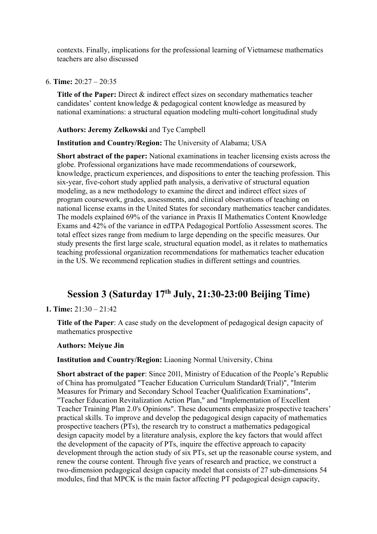contexts. Finally, implications for the professional learning of Vietnamese mathematics teachers are also discussed

#### 6. **Time:** 20:27 – 20:35

**Title of the Paper:** Direct & indirect effect sizes on secondary mathematics teacher candidates' content knowledge & pedagogical content knowledge as measured by national examinations: a structural equation modeling multi-cohort longitudinal study

#### **Authors: Jeremy Zelkowski** and Tye Campbell

**Institution and Country/Region:** The University of Alabama; USA

**Short abstract of the paper:** National examinations in teacher licensing exists across the globe. Professional organizations have made recommendations of coursework, knowledge, practicum experiences, and dispositions to enter the teaching profession. This six-year, five-cohort study applied path analysis, a derivative of structural equation modeling, as a new methodology to examine the direct and indirect effect sizes of program coursework, grades, assessments, and clinical observations of teaching on national license exams in the United States for secondary mathematics teacher candidates. The models explained 69% of the variance in Praxis II Mathematics Content Knowledge Exams and 42% of the variance in edTPA Pedagogical Portfolio Assessment scores. The total effect sizes range from medium to large depending on the specific measures. Our study presents the first large scale, structural equation model, as it relates to mathematics teaching professional organization recommendations for mathematics teacher education in the US. We recommend replication studies in different settings and countries.

## **Session 3 (Saturday 17th July, 21:30-23:00 Beijing Time)**

## **1. Time:** 21:30 – 21:42

**Title of the Paper**: A case study on the development of pedagogical design capacity of mathematics prospective

#### **Authors: Meiyue Jin**

#### **Institution and Country/Region:** Liaoning Normal University, China

**Short abstract of the paper:** Since 2011, Ministry of Education of the People's Republic of China has promulgated "Teacher Education Curriculum Standard(Trial)", "Interim Measures for Primary and Secondary School Teacher Qualification Examinations", "Teacher Education Revitalization Action Plan," and "Implementation of Excellent Teacher Training Plan 2.0's Opinions". These documents emphasize prospective teachers' practical skills. To improve and develop the pedagogical design capacity of mathematics prospective teachers (PTs), the research try to construct a mathematics pedagogical design capacity model by a literature analysis, explore the key factors that would affect the development of the capacity of PTs, inquire the effective approach to capacity development through the action study of six PTs, set up the reasonable course system, and renew the course content. Through five years of research and practice, we construct a two-dimension pedagogical design capacity model that consists of  $27$  sub-dimensions  $54$ modules, find that MPCK is the main factor affecting PT pedagogical design capacity,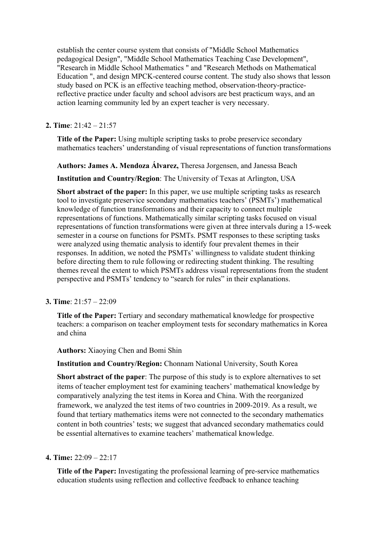establish the center course system that consists of "Middle School Mathematics pedagogical Design", "Middle School Mathematics Teaching Case Development", "Research in Middle School Mathematics " and "Research Methods on Mathematical Education ", and design MPCK-centered course content. The study also shows that lesson study based on PCK is an effective teaching method, observation-theory-practicereflective practice under faculty and school advisors are best practicum ways, and an action learning community led by an expert teacher is very necessary.

## **2. Time**: 21:42 – 21:57

**Title of the Paper:** Using multiple scripting tasks to probe preservice secondary mathematics teachers' understanding of visual representations of function transformations

**Authors: James A. Mendoza Álvarez,** Theresa Jorgensen, and Janessa Beach

**Institution and Country/Region**: The University of Texas at Arlington, USA

**Short abstract of the paper:** In this paper, we use multiple scripting tasks as research tool to investigate preservice secondary mathematics teachers' (PSMTs') mathematical knowledge of function transformations and their capacity to connect multiple representations of functions. Mathematically similar scripting tasks focused on visual representations of function transformations were given at three intervals during a 15-week semester in a course on functions for PSMTs. PSMT responses to these scripting tasks were analyzed using thematic analysis to identify four prevalent themes in their responses. In addition, we noted the PSMTs' willingness to validate student thinking before directing them to rule following or redirecting student thinking. The resulting themes reveal the extent to which PSMTs address visual representations from the student perspective and PSMTs' tendency to "search for rules" in their explanations.

## **3. Time**: 21:57 – 22:09

**Title of the Paper:** Tertiary and secondary mathematical knowledge for prospective teachers: a comparison on teacher employment tests for secondary mathematics in Korea and china

**Authors:** Xiaoying Chen and Bomi Shin

**Institution and Country/Region:** Chonnam National University, South Korea

**Short abstract of the paper**: The purpose of this study is to explore alternatives to set items of teacher employment test for examining teachers' mathematical knowledge by comparatively analyzing the test items in Korea and China. With the reorganized framework, we analyzed the test items of two countries in 2009-2019. As a result, we found that tertiary mathematics items were not connected to the secondary mathematics content in both countries' tests; we suggest that advanced secondary mathematics could be essential alternatives to examine teachers' mathematical knowledge.

## **4. Time:** 22:09 – 22:17

**Title of the Paper:** Investigating the professional learning of pre-service mathematics education students using reflection and collective feedback to enhance teaching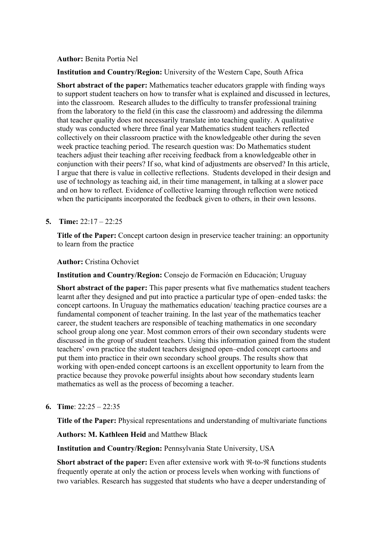**Author:** Benita Portia Nel

**Institution and Country/Region:** University of the Western Cape, South Africa

**Short abstract of the paper:** Mathematics teacher educators grapple with finding ways to support student teachers on how to transfer what is explained and discussed in lectures, into the classroom. Research alludes to the difficulty to transfer professional training from the laboratory to the field (in this case the classroom) and addressing the dilemma that teacher quality does not necessarily translate into teaching quality. A qualitative study was conducted where three final year Mathematics student teachers reflected collectively on their classroom practice with the knowledgeable other during the seven week practice teaching period. The research question was: Do Mathematics student teachers adjust their teaching after receiving feedback from a knowledgeable other in conjunction with their peers? If so, what kind of adjustments are observed? In this article, I argue that there is value in collective reflections. Students developed in their design and use of technology as teaching aid, in their time management, in talking at a slower pace and on how to reflect. Evidence of collective learning through reflection were noticed when the participants incorporated the feedback given to others, in their own lessons.

## **5. Time:** 22:17 – 22:25

**Title of the Paper:** Concept cartoon design in preservice teacher training: an opportunity to learn from the practice

**Author:** Cristina Ochoviet

**Institution and Country/Region:** Consejo de Formación en Educación; Uruguay

**Short abstract of the paper:** This paper presents what five mathematics student teachers learnt after they designed and put into practice a particular type of open–ended tasks: the concept cartoons. In Uruguay the mathematics education/ teaching practice courses are a fundamental component of teacher training. In the last year of the mathematics teacher career, the student teachers are responsible of teaching mathematics in one secondary school group along one year. Most common errors of their own secondary students were discussed in the group of student teachers. Using this information gained from the student teachers' own practice the student teachers designed open–ended concept cartoons and put them into practice in their own secondary school groups. The results show that working with open-ended concept cartoons is an excellent opportunity to learn from the practice because they provoke powerful insights about how secondary students learn mathematics as well as the process of becoming a teacher.

**6. Time**: 22:25 – 22:35

**Title of the Paper:** Physical representations and understanding of multivariate functions

**Authors: M. Kathleen Heid** and Matthew Black

**Institution and Country/Region:** Pennsylvania State University, USA

**Short abstract of the paper:** Even after extensive work with  $\mathcal{R}$ -to- $\mathcal{R}$  functions students frequently operate at only the action or process levels when working with functions of two variables. Research has suggested that students who have a deeper understanding of